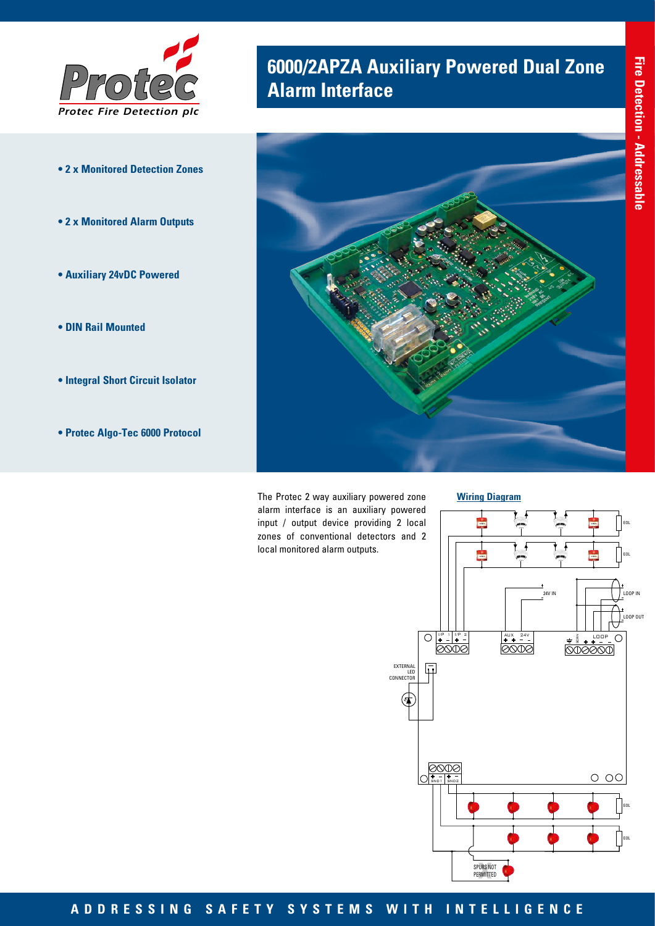

- **2 x Monitored Detection Zones**
- **2 x Monitored Alarm Outputs**
- **Auxiliary 24vDC Powered**
- **DIN Rail Mounted**
- **Integral Short Circuit Isolator**
- **Protec Algo-Tec 6000 Protocol**

## **6000/2APZA Auxiliary Powered Dual Zone Alarm Interface**



The Protec 2 way auxiliary powered zone alarm interface is an auxiliary powered input / output device providing 2 local zones of conventional detectors and 2 local monitored alarm outputs.





## **ADDRESSING SAFETY SYSTEMS WITH INTELLIGENCE**